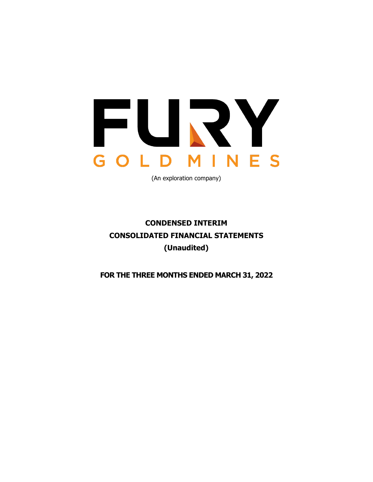

(An exploration company)

# **CONDENSED INTERIM CONSOLIDATED FINANCIAL STATEMENTS (Unaudited)**

**FOR THE THREE MONTHS ENDED MARCH 31, 2022**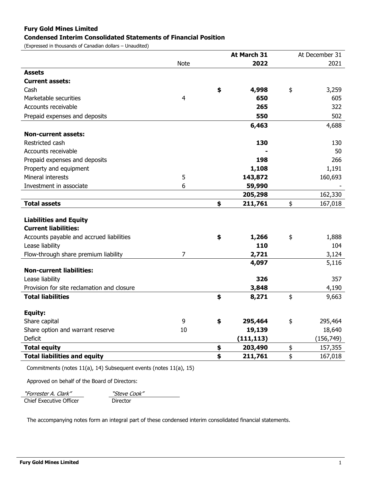# **Fury Gold Mines Limited**

#### **Condensed Interim Consolidated Statements of Financial Position**

(Expressed in thousands of Canadian dollars – Unaudited)

|                                            |                | At March 31   | At December 31 |
|--------------------------------------------|----------------|---------------|----------------|
|                                            | <b>Note</b>    | 2022          | 2021           |
| <b>Assets</b>                              |                |               |                |
| <b>Current assets:</b>                     |                |               |                |
| Cash                                       |                | \$<br>4,998   | \$<br>3,259    |
| Marketable securities                      | $\overline{4}$ | 650           | 605            |
| Accounts receivable                        |                | 265           | 322            |
| Prepaid expenses and deposits              |                | 550           | 502            |
|                                            |                | 6,463         | 4,688          |
| <b>Non-current assets:</b>                 |                |               |                |
| Restricted cash                            |                | 130           | 130            |
| Accounts receivable                        |                |               | 50             |
| Prepaid expenses and deposits              |                | 198           | 266            |
| Property and equipment                     |                | 1,108         | 1,191          |
| Mineral interests                          | 5              | 143,872       | 160,693        |
| Investment in associate                    | 6              | 59,990        |                |
|                                            |                | 205,298       | 162,330        |
| <b>Total assets</b>                        |                | \$<br>211,761 | \$<br>167,018  |
|                                            |                |               |                |
| <b>Liabilities and Equity</b>              |                |               |                |
| <b>Current liabilities:</b>                |                |               |                |
| Accounts payable and accrued liabilities   |                | \$<br>1,266   | \$<br>1,888    |
| Lease liability                            |                | 110           | 104            |
| Flow-through share premium liability       | 7              | 2,721         | 3,124          |
| <b>Non-current liabilities:</b>            |                | 4,097         | 5,116          |
| Lease liability                            |                | 326           | 357            |
| Provision for site reclamation and closure |                |               |                |
| <b>Total liabilities</b>                   |                | 3,848         | 4,190          |
|                                            |                | \$<br>8,271   | \$<br>9,663    |
| Equity:                                    |                |               |                |
| Share capital                              | 9              | \$<br>295,464 | \$<br>295,464  |
| Share option and warrant reserve           | 10             | 19,139        | 18,640         |
| Deficit                                    |                | (111, 113)    | (156, 749)     |
| <b>Total equity</b>                        |                | \$<br>203,490 | \$<br>157,355  |
| <b>Total liabilities and equity</b>        |                | \$<br>211,761 | \$<br>167,018  |

Commitments (notes 11(a), 14) Subsequent events (notes 11(a), 15)

Approved on behalf of the Board of Directors:

"Forrester A. Clark" New Steve Cook" Chief Executive Officer Director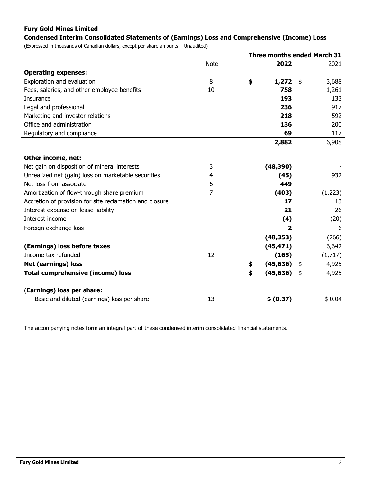# **Fury Gold Mines Limited**

# **Condensed Interim Consolidated Statements of (Earnings) Loss and Comprehensive (Income) Loss**

(Expressed in thousands of Canadian dollars, except per share amounts – Unaudited)

|                                                         |             | <b>Three months ended March 31</b> |           |    |         |
|---------------------------------------------------------|-------------|------------------------------------|-----------|----|---------|
|                                                         | <b>Note</b> |                                    | 2022      |    | 2021    |
| <b>Operating expenses:</b>                              |             |                                    |           |    |         |
| Exploration and evaluation                              | 8           | \$                                 | 1,272     | \$ | 3,688   |
| Fees, salaries, and other employee benefits             | 10          |                                    | 758       |    | 1,261   |
| Insurance                                               |             |                                    | 193       |    | 133     |
| Legal and professional                                  |             |                                    | 236       |    | 917     |
| Marketing and investor relations                        |             |                                    | 218       |    | 592     |
| Office and administration                               |             |                                    | 136       |    | 200     |
| Regulatory and compliance                               |             |                                    | 69        |    | 117     |
|                                                         |             |                                    | 2,882     |    | 6,908   |
|                                                         |             |                                    |           |    |         |
| Other income, net:                                      |             |                                    |           |    |         |
| Net gain on disposition of mineral interests            | 3           |                                    | (48, 390) |    |         |
| Unrealized net (gain) loss on marketable securities     | 4           |                                    | (45)      |    | 932     |
| Net loss from associate                                 | 6           |                                    | 449       |    |         |
| Amortization of flow-through share premium              | 7           |                                    | (403)     |    | (1,223) |
| Accretion of provision for site reclamation and closure |             |                                    | 17        |    | 13      |
| Interest expense on lease liability                     |             |                                    | 21        |    | 26      |
| Interest income                                         |             |                                    | (4)       |    | (20)    |
| Foreign exchange loss                                   |             |                                    | 2         |    | 6       |
|                                                         |             |                                    | (48, 353) |    | (266)   |
| (Earnings) loss before taxes                            |             |                                    | (45, 471) |    | 6,642   |
| Income tax refunded                                     | 12          |                                    | (165)     |    | (1,717) |
| <b>Net (earnings) loss</b>                              |             | \$                                 | (45, 636) | \$ | 4,925   |
| <b>Total comprehensive (income) loss</b>                |             | \$                                 | (45, 636) | \$ | 4,925   |
|                                                         |             |                                    |           |    |         |
| (Earnings) loss per share:                              |             |                                    |           |    |         |
| Basic and diluted (earnings) loss per share             | 13          |                                    | \$ (0.37) |    | \$0.04  |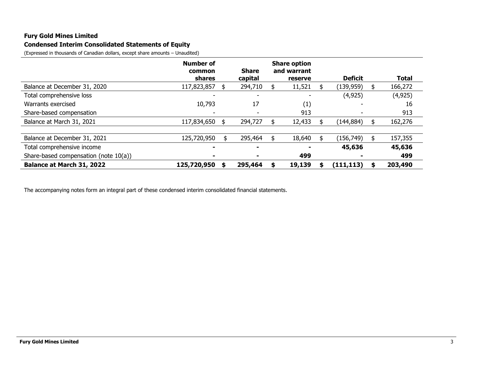## **Fury Gold Mines Limited**

# **Condensed Interim Consolidated Statements of Equity**

(Expressed in thousands of Canadian dollars, except share amounts – Unaudited)

|                                       | <b>Number of</b><br>common | <b>Share</b>             | <b>Share option</b><br>and warrant |                          |    |              |
|---------------------------------------|----------------------------|--------------------------|------------------------------------|--------------------------|----|--------------|
|                                       | shares                     | capital                  | reserve                            | <b>Deficit</b>           |    | <b>Total</b> |
| Balance at December 31, 2020          | 117,823,857                | 294,710                  | 11,521                             | (139, 959)               | \$ | 166,272      |
| Total comprehensive loss              |                            | $\overline{\phantom{0}}$ |                                    | (4, 925)                 |    | (4, 925)     |
| Warrants exercised                    | 10,793                     | 17                       | (1)                                |                          |    | 16           |
| Share-based compensation              |                            |                          | 913                                | $\overline{\phantom{0}}$ |    | 913          |
| Balance at March 31, 2021             | 117,834,650                | \$<br>294,727            | 12,433                             | (144, 884)               |    | 162,276      |
|                                       |                            |                          |                                    |                          |    |              |
| Balance at December 31, 2021          | 125,720,950                | \$<br>295,464            | 18,640                             | (156, 749)               | \$ | 157,355      |
| Total comprehensive income            |                            |                          |                                    | 45,636                   |    | 45,636       |
| Share-based compensation (note 10(a)) |                            |                          | 499                                |                          |    | 499          |
| Balance at March 31, 2022             | 125,720,950                | 295,464                  | 19,139                             | (111, 113)               | S  | 203,490      |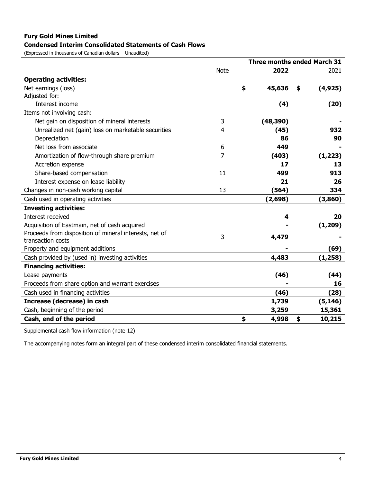# **Fury Gold Mines Limited Condensed Interim Consolidated Statements of Cash Flows**

(Expressed in thousands of Canadian dollars – Unaudited)

|                                                        |             | <b>Three months ended March 31</b> |           |    |          |  |
|--------------------------------------------------------|-------------|------------------------------------|-----------|----|----------|--|
|                                                        | <b>Note</b> |                                    | 2022      |    | 2021     |  |
| <b>Operating activities:</b>                           |             |                                    |           |    |          |  |
| Net earnings (loss)                                    |             | \$                                 | 45,636    | \$ | (4, 925) |  |
| Adjusted for:                                          |             |                                    |           |    |          |  |
| Interest income                                        |             |                                    | (4)       |    | (20)     |  |
| Items not involving cash:                              |             |                                    |           |    |          |  |
| Net gain on disposition of mineral interests           | 3           |                                    | (48, 390) |    |          |  |
| Unrealized net (gain) loss on marketable securities    | 4           |                                    | (45)      |    | 932      |  |
| Depreciation                                           |             |                                    | 86        |    | 90       |  |
| Net loss from associate                                | 6           |                                    | 449       |    |          |  |
| Amortization of flow-through share premium             | 7           |                                    | (403)     |    | (1, 223) |  |
| Accretion expense                                      |             |                                    | 17        |    | 13       |  |
| Share-based compensation                               | 11          |                                    | 499       |    | 913      |  |
| Interest expense on lease liability                    |             |                                    | 21        |    | 26       |  |
| Changes in non-cash working capital                    | 13          |                                    | (564)     |    | 334      |  |
| Cash used in operating activities                      |             |                                    | (2,698)   |    | (3,860)  |  |
| <b>Investing activities:</b>                           |             |                                    |           |    |          |  |
| Interest received                                      |             |                                    | 4         |    | 20       |  |
| Acquisition of Eastmain, net of cash acquired          |             |                                    |           |    | (1, 209) |  |
| Proceeds from disposition of mineral interests, net of | 3           |                                    | 4,479     |    |          |  |
| transaction costs                                      |             |                                    |           |    |          |  |
| Property and equipment additions                       |             |                                    |           |    | (69)     |  |
| Cash provided by (used in) investing activities        |             |                                    | 4,483     |    | (1, 258) |  |
| <b>Financing activities:</b>                           |             |                                    |           |    |          |  |
| Lease payments                                         |             |                                    | (46)      |    | (44)     |  |
| Proceeds from share option and warrant exercises       |             |                                    |           |    | 16       |  |
| Cash used in financing activities                      |             |                                    | (46)      |    | (28)     |  |
| Increase (decrease) in cash                            |             |                                    | 1,739     |    | (5, 146) |  |
| Cash, beginning of the period                          |             |                                    | 3,259     |    | 15,361   |  |
| Cash, end of the period                                |             | \$                                 | 4,998     | \$ | 10,215   |  |

Supplemental cash flow information (note 12)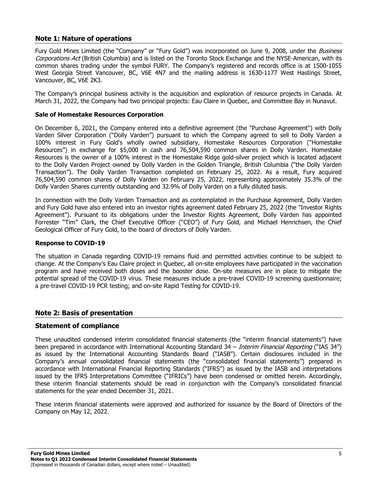# **Note 1: Nature of operations**

Fury Gold Mines Limited (the "Company" or "Fury Gold") was incorporated on June 9, 2008, under the *Business* Corporations Act (British Columbia) and is listed on the Toronto Stock Exchange and the NYSE-American, with its common shares trading under the symbol FURY. The Company's registered and records office is at 1500-1055 West Georgia Street Vancouver, BC, V6E 4N7 and the mailing address is 1630-1177 West Hastings Street, Vancouver, BC, V6E 2K3.

The Company's principal business activity is the acquisition and exploration of resource projects in Canada. At March 31, 2022, the Company had two principal projects: Eau Claire in Quebec, and Committee Bay in Nunavut.

#### **Sale of Homestake Resources Corporation**

On December 6, 2021, the Company entered into a definitive agreement (the "Purchase Agreement") with Dolly Varden Silver Corporation ("Dolly Varden") pursuant to which the Company agreed to sell to Dolly Varden a 100% interest in Fury Gold's wholly owned subsidiary, Homestake Resources Corporation ("Homestake Resources") in exchange for \$5,000 in cash and 76,504,590 common shares in Dolly Varden. Homestake Resources is the owner of a 100% interest in the Homestake Ridge gold-silver project which is located adjacent to the Dolly Varden Project owned by Dolly Varden in the Golden Triangle, British Columbia ("the Dolly Varden Transaction"). The Dolly Varden Transaction completed on February 25, 2022. As a result, Fury acquired 76,504,590 common shares of Dolly Varden on February 25, 2022, representing approximately 35.3% of the Dolly Varden Shares currently outstanding and 32.9% of Dolly Varden on a fully diluted basis.

In connection with the Dolly Varden Transaction and as contemplated in the Purchase Agreement, Dolly Varden and Fury Gold have also entered into an investor rights agreement dated February 25, 2022 (the "Investor Rights Agreement"). Pursuant to its obligations under the Investor Rights Agreement, Dolly Varden has appointed Forrester "Tim" Clark, the Chief Executive Officer ("CEO") of Fury Gold, and Michael Henrichsen, the Chief Geological Officer of Fury Gold, to the board of directors of Dolly Varden.

#### **Response to COVID-19**

The situation in Canada regarding COVID-19 remains fluid and permitted activities continue to be subject to change. At the Company's Eau Claire project in Quebec, all on-site employees have participated in the vaccination program and have received both doses and the booster dose. On-site measures are in place to mitigate the potential spread of the COVID-19 virus. These measures include a pre-travel COVID-19 screening questionnaire; a pre-travel COVID-19 PCR testing; and on-site Rapid Testing for COVID-19.

#### **Note 2: Basis of presentation**

#### **Statement of compliance**

These unaudited condensed interim consolidated financial statements (the "interim financial statements") have been prepared in accordance with International Accounting Standard 34 – Interim Financial Reporting ("IAS 34") as issued by the International Accounting Standards Board ("IASB"). Certain disclosures included in the Company's annual consolidated financial statements (the "consolidated financial statements") prepared in accordance with International Financial Reporting Standards ("IFRS") as issued by the IASB and interpretations issued by the IFRS Interpretations Committee ("IFRICs") have been condensed or omitted herein. Accordingly, these interim financial statements should be read in conjunction with the Company's consolidated financial statements for the year ended December 31, 2021.

These interim financial statements were approved and authorized for issuance by the Board of Directors of the Company on May 12, 2022.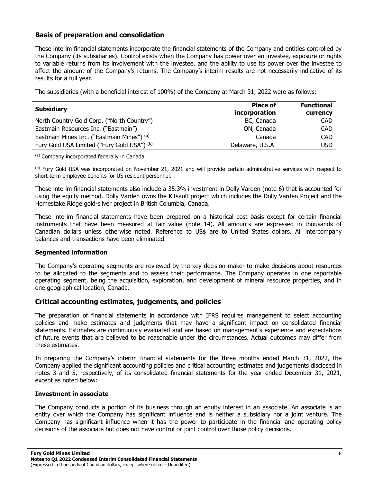# **Basis of preparation and consolidation**

These interim financial statements incorporate the financial statements of the Company and entities controlled by the Company (its subsidiaries). Control exists when the Company has power over an investee, exposure or rights to variable returns from its involvement with the investee, and the ability to use its power over the investee to affect the amount of the Company's returns. The Company's interim results are not necessarily indicative of its results for a full year.

The subsidiaries (with a beneficial interest of 100%) of the Company at March 31, 2022 were as follows:

| <b>Subsidiary</b>                           | <b>Place of</b><br>incorporation | <b>Functional</b><br>currency |
|---------------------------------------------|----------------------------------|-------------------------------|
| North Country Gold Corp. ("North Country")  | BC, Canada                       | <b>CAD</b>                    |
| Eastmain Resources Inc. ("Eastmain")        | ON, Canada                       | <b>CAD</b>                    |
| Eastmain Mines Inc. ("Eastmain Mines") (a)  | Canada                           | CAD                           |
| Fury Gold USA Limited ("Fury Gold USA") (b) | Delaware, U.S.A.                 | usd                           |

(a) Company incorporated federally in Canada.

(b) Fury Gold USA was incorporated on November 21, 2021 and will provide certain administrative services with respect to short-term employee benefits for US resident personnel.

These interim financial statements also include a 35.3% investment in Dolly Varden (note 6) that is accounted for using the equity method. Dolly Varden owns the Kitsault project which includes the Dolly Varden Project and the Homestake Ridge gold-silver project in British Columbia, Canada.

These interim financial statements have been prepared on a historical cost basis except for certain financial instruments that have been measured at fair value (note 14). All amounts are expressed in thousands of Canadian dollars unless otherwise noted. Reference to US\$ are to United States dollars. All intercompany balances and transactions have been eliminated.

#### **Segmented information**

The Company's operating segments are reviewed by the key decision maker to make decisions about resources to be allocated to the segments and to assess their performance. The Company operates in one reportable operating segment, being the acquisition, exploration, and development of mineral resource properties, and in one geographical location, Canada.

# **Critical accounting estimates, judgements, and policies**

The preparation of financial statements in accordance with IFRS requires management to select accounting policies and make estimates and judgments that may have a significant impact on consolidated financial statements. Estimates are continuously evaluated and are based on management's experience and expectations of future events that are believed to be reasonable under the circumstances. Actual outcomes may differ from these estimates.

In preparing the Company's interim financial statements for the three months ended March 31, 2022, the Company applied the significant accounting policies and critical accounting estimates and judgements disclosed in notes 3 and 5, respectively, of its consolidated financial statements for the year ended December 31, 2021, except as noted below:

#### **Investment in associate**

The Company conducts a portion of its business through an equity interest in an associate. An associate is an entity over which the Company has significant influence and is neither a subsidiary nor a joint venture. The Company has significant influence when it has the power to participate in the financial and operating policy decisions of the associate but does not have control or joint control over those policy decisions.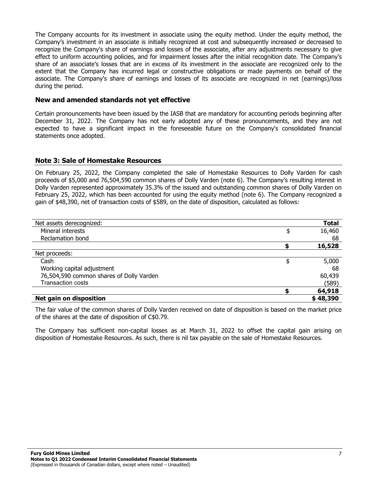The Company accounts for its investment in associate using the equity method. Under the equity method, the Company's investment in an associate is initially recognized at cost and subsequently increased or decreased to recognize the Company's share of earnings and losses of the associate, after any adjustments necessary to give effect to uniform accounting policies, and for impairment losses after the initial recognition date. The Company's share of an associate's losses that are in excess of its investment in the associate are recognized only to the extent that the Company has incurred legal or constructive obligations or made payments on behalf of the associate. The Company's share of earnings and losses of its associate are recognized in net (earnings)/loss during the period.

#### **New and amended standards not yet effective**

Certain pronouncements have been issued by the IASB that are mandatory for accounting periods beginning after December 31, 2022. The Company has not early adopted any of these pronouncements, and they are not expected to have a significant impact in the foreseeable future on the Company's consolidated financial statements once adopted.

#### **Note 3: Sale of Homestake Resources**

On February 25, 2022, the Company completed the sale of Homestake Resources to Dolly Varden for cash proceeds of \$5,000 and 76,504,590 common shares of Dolly Varden (note 6). The Company's resulting interest in Dolly Varden represented approximately 35.3% of the issued and outstanding common shares of Dolly Varden on February 25, 2022, which has been accounted for using the equity method (note 6). The Company recognized a gain of \$48,390, net of transaction costs of \$589, on the date of disposition, calculated as follows:

| Net assets derecognized:                 | <b>Total</b> |
|------------------------------------------|--------------|
| Mineral interests                        | \$<br>16,460 |
| Reclamation bond                         | 68           |
|                                          | 16,528       |
| Net proceeds:                            |              |
| Cash                                     | \$<br>5,000  |
| Working capital adjustment               | 68           |
| 76,504,590 common shares of Dolly Varden | 60,439       |
| <b>Transaction costs</b>                 | (589)        |
|                                          | 64,918       |
| <b>Net gain on disposition</b>           | \$48,390     |

The fair value of the common shares of Dolly Varden received on date of disposition is based on the market price of the shares at the date of disposition of C\$0.79.

The Company has sufficient non-capital losses as at March 31, 2022 to offset the capital gain arising on disposition of Homestake Resources. As such, there is nil tax payable on the sale of Homestake Resources.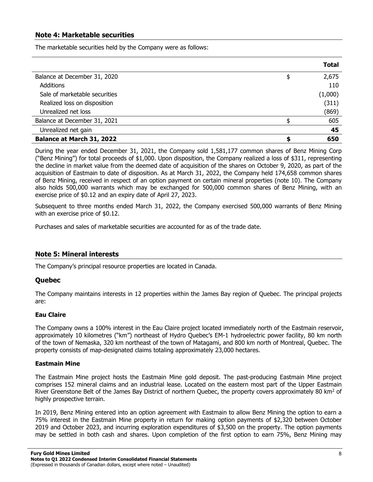## **Note 4: Marketable securities**

The marketable securities held by the Company were as follows:

|                                  | Total       |
|----------------------------------|-------------|
| Balance at December 31, 2020     | \$<br>2,675 |
| <b>Additions</b>                 | 110         |
| Sale of marketable securities    | (1,000)     |
| Realized loss on disposition     | (311)       |
| Unrealized net loss              | (869)       |
| Balance at December 31, 2021     | 605         |
| Unrealized net gain              | 45          |
| <b>Balance at March 31, 2022</b> | 650         |

During the year ended December 31, 2021, the Company sold 1,581,177 common shares of Benz Mining Corp ("Benz Mining") for total proceeds of \$1,000. Upon disposition, the Company realized a loss of \$311, representing the decline in market value from the deemed date of acquisition of the shares on October 9, 2020, as part of the acquisition of Eastmain to date of disposition. As at March 31, 2022, the Company held 174,658 common shares of Benz Mining, received in respect of an option payment on certain mineral properties (note 10). The Company also holds 500,000 warrants which may be exchanged for 500,000 common shares of Benz Mining, with an exercise price of \$0.12 and an expiry date of April 27, 2023.

Subsequent to three months ended March 31, 2022, the Company exercised 500,000 warrants of Benz Mining with an exercise price of \$0.12.

Purchases and sales of marketable securities are accounted for as of the trade date.

#### **Note 5: Mineral interests**

The Company's principal resource properties are located in Canada.

#### **Quebec**

The Company maintains interests in 12 properties within the James Bay region of Quebec. The principal projects are:

#### **Eau Claire**

The Company owns a 100% interest in the Eau Claire project located immediately north of the Eastmain reservoir, approximately 10 kilometres ("km") northeast of Hydro Quebec's EM-1 hydroelectric power facility, 80 km north of the town of Nemaska, 320 km northeast of the town of Matagami, and 800 km north of Montreal, Quebec. The property consists of map-designated claims totaling approximately 23,000 hectares.

#### **Eastmain Mine**

The Eastmain Mine project hosts the Eastmain Mine gold deposit. The past-producing Eastmain Mine project comprises 152 mineral claims and an industrial lease. Located on the eastern most part of the Upper Eastmain River Greenstone Belt of the James Bay District of northern Quebec, the property covers approximately 80 km<sup>2</sup> of highly prospective terrain.

In 2019, Benz Mining entered into an option agreement with Eastmain to allow Benz Mining the option to earn a 75% interest in the Eastmain Mine property in return for making option payments of \$2,320 between October 2019 and October 2023, and incurring exploration expenditures of \$3,500 on the property. The option payments may be settled in both cash and shares. Upon completion of the first option to earn 75%, Benz Mining may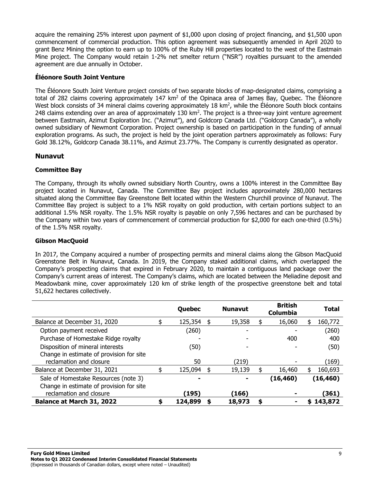acquire the remaining 25% interest upon payment of \$1,000 upon closing of project financing, and \$1,500 upon commencement of commercial production. This option agreement was subsequently amended in April 2020 to grant Benz Mining the option to earn up to 100% of the Ruby Hill properties located to the west of the Eastmain Mine project. The Company would retain 1-2% net smelter return ("NSR") royalties pursuant to the amended agreement are due annually in October.

## **Éléonore South Joint Venture**

The Éléonore South Joint Venture project consists of two separate blocks of map-designated claims, comprising a total of 282 claims covering approximately 147  $km^2$  of the Opinaca area of James Bay, Quebec. The Éléonore West block consists of 34 mineral claims covering approximately 18 km<sup>2</sup>, while the Éléonore South block contains 248 claims extending over an area of approximately 130 km2. The project is a three-way joint venture agreement between Eastmain, Azimut Exploration Inc. ("Azimut"), and Goldcorp Canada Ltd. ("Goldcorp Canada"), a wholly owned subsidiary of Newmont Corporation. Project ownership is based on participation in the funding of annual exploration programs. As such, the project is held by the joint operation partners approximately as follows: Fury Gold 38.12%, Goldcorp Canada 38.11%, and Azimut 23.77%. The Company is currently designated as operator.

# **Nunavut**

# **Committee Bay**

The Company, through its wholly owned subsidiary North Country, owns a 100% interest in the Committee Bay project located in Nunavut, Canada. The Committee Bay project includes approximately 280,000 hectares situated along the Committee Bay Greenstone Belt located within the Western Churchill province of Nunavut. The Committee Bay project is subject to a 1% NSR royalty on gold production, with certain portions subject to an additional 1.5% NSR royalty. The 1.5% NSR royalty is payable on only 7,596 hectares and can be purchased by the Company within two years of commencement of commercial production for \$2,000 for each one-third (0.5%) of the 1.5% NSR royalty.

## **Gibson MacQuoid**

In 2017, the Company acquired a number of prospecting permits and mineral claims along the Gibson MacQuoid Greenstone Belt in Nunavut, Canada. In 2019, the Company staked additional claims, which overlapped the Company's prospecting claims that expired in February 2020, to maintain a contiguous land package over the Company's current areas of interest. The Company's claims, which are located between the Meliadine deposit and Meadowbank mine, cover approximately 120 km of strike length of the prospective greenstone belt and total 51,622 hectares collectively.

|                                                                     |   | Quebec  |    | <b>Nunavut</b> | <b>British</b><br><b>Columbia</b> | Total         |
|---------------------------------------------------------------------|---|---------|----|----------------|-----------------------------------|---------------|
| Balance at December 31, 2020                                        |   | 125,354 |    | 19,358         | 16,060                            | 160,772       |
| Option payment received                                             |   | (260)   |    |                |                                   | (260)         |
| Purchase of Homestake Ridge royalty                                 |   |         |    |                | 400                               | 400           |
| Disposition of mineral interests                                    |   | (50)    |    |                |                                   | (50)          |
| Change in estimate of provision for site<br>reclamation and closure |   | 50      |    | (219)          |                                   | (169)         |
| Balance at December 31, 2021                                        |   | 125,094 | \$ | 19,139         | \$<br>16,460                      | \$<br>160,693 |
| Sale of Homestake Resources (note 3)                                |   |         |    | -              | (16, 460)                         | (16, 460)     |
| Change in estimate of provision for site                            |   |         |    |                |                                   |               |
| reclamation and closure                                             |   | (195)   |    | (166)          |                                   | (361)         |
| <b>Balance at March 31, 2022</b>                                    | S | 124,899 | S  | 18,973         | \$                                | \$143,872     |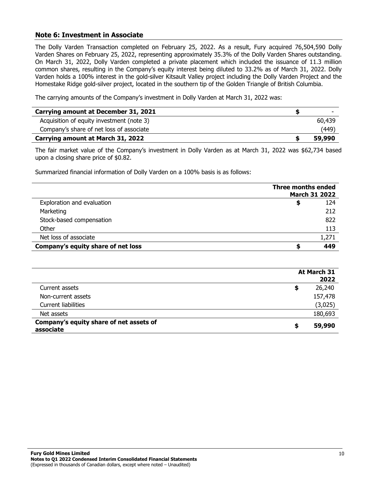## **Note 6: Investment in Associate**

The Dolly Varden Transaction completed on February 25, 2022. As a result, Fury acquired 76,504,590 Dolly Varden Shares on February 25, 2022, representing approximately 35.3% of the Dolly Varden Shares outstanding. On March 31, 2022, Dolly Varden completed a private placement which included the issuance of 11.3 million common shares, resulting in the Company's equity interest being diluted to 33.2% as of March 31, 2022. Dolly Varden holds a 100% interest in the gold-silver Kitsault Valley project including the Dolly Varden Project and the Homestake Ridge gold-silver project, located in the southern tip of the Golden Triangle of British Columbia.

The carrying amounts of the Company's investment in Dolly Varden at March 31, 2022 was:

| Carrying amount at December 31, 2021      | -      |
|-------------------------------------------|--------|
| Acquisition of equity investment (note 3) | 60,439 |
| Company's share of net loss of associate  | (449)  |
| Carrying amount at March 31, 2022         | 59,990 |

The fair market value of the Company's investment in Dolly Varden as at March 31, 2022 was \$62,734 based upon a closing share price of \$0.82.

Summarized financial information of Dolly Varden on a 100% basis is as follows:

|                                    | Three months ended<br><b>March 31 2022</b> |
|------------------------------------|--------------------------------------------|
| Exploration and evaluation         | 124                                        |
| Marketing                          | 212                                        |
| Stock-based compensation           | 822                                        |
| Other                              | 113                                        |
| Net loss of associate              | 1,271                                      |
| Company's equity share of net loss | 449                                        |

|                                                      | At March 31<br>2022 |
|------------------------------------------------------|---------------------|
| Current assets                                       | 26,240<br>S         |
| Non-current assets                                   | 157,478             |
| <b>Current liabilities</b>                           | (3,025)             |
| Net assets                                           | 180,693             |
| Company's equity share of net assets of<br>associate | 59,990<br>\$        |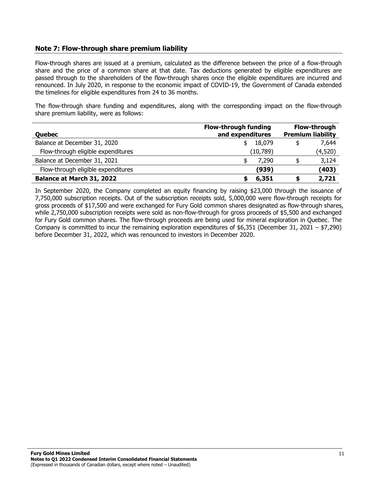# **Note 7: Flow-through share premium liability**

Flow-through shares are issued at a premium, calculated as the difference between the price of a flow-through share and the price of a common share at that date. Tax deductions generated by eligible expenditures are passed through to the shareholders of the flow-through shares once the eligible expenditures are incurred and renounced. In July 2020, in response to the economic impact of COVID-19, the Government of Canada extended the timelines for eligible expenditures from 24 to 36 months.

The flow-through share funding and expenditures, along with the corresponding impact on the flow-through share premium liability, were as follows:

| <b>Quebec</b>                      | <b>Flow-through funding</b><br>and expenditures |           |    | <b>Flow-through</b><br><b>Premium liability</b> |
|------------------------------------|-------------------------------------------------|-----------|----|-------------------------------------------------|
| Balance at December 31, 2020       |                                                 | 18,079    | \$ | 7,644                                           |
| Flow-through eligible expenditures |                                                 | (10, 789) |    | (4,520)                                         |
| Balance at December 31, 2021       |                                                 | 7,290     |    | 3,124                                           |
| Flow-through eligible expenditures |                                                 | (939)     |    | (403)                                           |
| <b>Balance at March 31, 2022</b>   |                                                 | 6,351     |    | 2,721                                           |

In September 2020, the Company completed an equity financing by raising \$23,000 through the issuance of 7,750,000 subscription receipts. Out of the subscription receipts sold, 5,000,000 were flow-through receipts for gross proceeds of \$17,500 and were exchanged for Fury Gold common shares designated as flow-through shares, while 2,750,000 subscription receipts were sold as non-flow-through for gross proceeds of \$5,500 and exchanged for Fury Gold common shares. The flow-through proceeds are being used for mineral exploration in Quebec. The Company is committed to incur the remaining exploration expenditures of  $$6,351$  (December 31, 2021 –  $$7,290$ ) before December 31, 2022, which was renounced to investors in December 2020.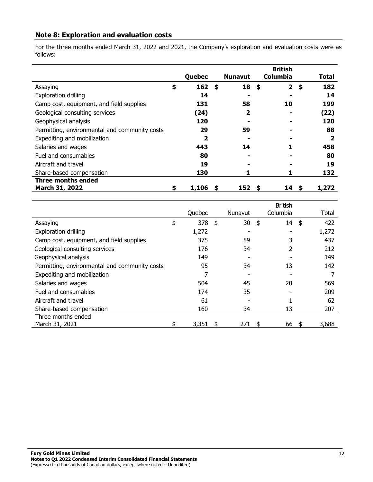# **Note 8: Exploration and evaluation costs**

For the three months ended March 31, 2022 and 2021, the Company's exploration and evaluation costs were as follows:

|                                               |    |        |                |     | <b>British</b>  |              |
|-----------------------------------------------|----|--------|----------------|-----|-----------------|--------------|
|                                               |    | Quebec | <b>Nunavut</b> |     | <b>Columbia</b> | Total        |
| Assaying                                      | \$ | 162    | \$<br>18       | -\$ | $\mathbf{2}$    | \$<br>182    |
| <b>Exploration drilling</b>                   |    | 14     |                |     |                 | 14           |
| Camp cost, equipment, and field supplies      |    | 131    | 58             |     | 10              | 199          |
| Geological consulting services                |    | (24)   | $\mathbf{2}$   |     |                 | (22)         |
| Geophysical analysis                          |    | 120    |                |     |                 | 120          |
| Permitting, environmental and community costs |    | 29     | 59             |     |                 | 88           |
| Expediting and mobilization                   |    | 2      |                |     |                 | $\mathbf{2}$ |
| Salaries and wages                            |    | 443    | 14             |     |                 | 458          |
| Fuel and consumables                          |    | 80     |                |     |                 | 80           |
| Aircraft and travel                           |    | 19     |                |     |                 | 19           |
| Share-based compensation                      |    | 130    |                |     |                 | 132          |
| <b>Three months ended</b>                     |    |        |                |     |                 |              |
| March 31, 2022                                | S  | 1,106  | 152            |     | 14              | 1,272        |

|                                               | Quebec      | Nunavut  |    | <b>British</b><br>Columbia |    | Total |
|-----------------------------------------------|-------------|----------|----|----------------------------|----|-------|
| Assaying                                      | \$<br>378   | \$<br>30 | \$ | 14                         | \$ | 422   |
|                                               |             |          |    |                            |    |       |
| <b>Exploration drilling</b>                   | 1,272       |          |    |                            |    | 1,272 |
| Camp cost, equipment, and field supplies      | 375         | 59       |    | 3                          |    | 437   |
| Geological consulting services                | 176         | 34       |    |                            |    | 212   |
| Geophysical analysis                          | 149         |          |    |                            |    | 149   |
| Permitting, environmental and community costs | 95          | 34       |    | 13                         |    | 142   |
| Expediting and mobilization                   | 7           |          |    |                            |    |       |
| Salaries and wages                            | 504         | 45       |    | 20                         |    | 569   |
| Fuel and consumables                          | 174         | 35       |    |                            |    | 209   |
| Aircraft and travel                           | 61          |          |    |                            |    | 62    |
| Share-based compensation                      | 160         | 34       |    | 13                         |    | 207   |
| Three months ended                            |             |          |    |                            |    |       |
| March 31, 2021                                | \$<br>3,351 | 271      | S  | 66                         | Я  | 3,688 |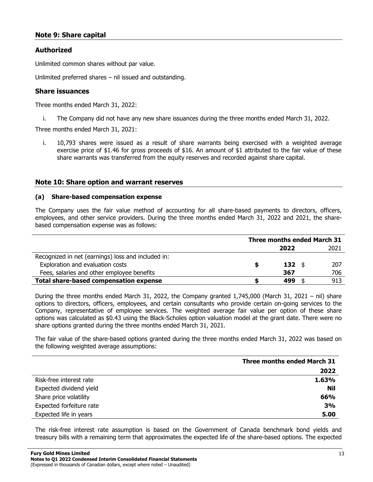# **Note 9: Share capital**

## **Authorized**

Unlimited common shares without par value.

Unlimited preferred shares – nil issued and outstanding.

#### **Share issuances**

Three months ended March 31, 2022:

i. The Company did not have any new share issuances during the three months ended March 31, 2022.

Three months ended March 31, 2021:

i. 10,793 shares were issued as a result of share warrants being exercised with a weighted average exercise price of \$1.46 for gross proceeds of \$16. An amount of \$1 attributed to the fair value of these share warrants was transferred from the equity reserves and recorded against share capital.

#### **Note 10: Share option and warrant reserves**

#### **(a) Share-based compensation expense**

The Company uses the fair value method of accounting for all share-based payments to directors, officers, employees, and other service providers. During the three months ended March 31, 2022 and 2021, the sharebased compensation expense was as follows:

|                                                    | <b>Three months ended March 31</b> |                |  |      |  |
|----------------------------------------------------|------------------------------------|----------------|--|------|--|
|                                                    |                                    | 2022           |  | 2021 |  |
| Recognized in net (earnings) loss and included in: |                                    |                |  |      |  |
| Exploration and evaluation costs                   |                                    | $132 \quad$ \$ |  | 207  |  |
| Fees, salaries and other employee benefits         |                                    | 367            |  | 706  |  |
| <b>Total share-based compensation expense</b>      |                                    | 499            |  | 913  |  |

During the three months ended March 31, 2022, the Company granted 1,745,000 (March 31, 2021 – nil) share options to directors, officers, employees, and certain consultants who provide certain on-going services to the Company, representative of employee services. The weighted average fair value per option of these share options was calculated as \$0.43 using the Black-Scholes option valuation model at the grant date. There were no share options granted during the three months ended March 31, 2021.

The fair value of the share-based options granted during the three months ended March 31, 2022 was based on the following weighted average assumptions:

|                          | <b>Three months ended March 31</b> |
|--------------------------|------------------------------------|
|                          | 2022                               |
| Risk-free interest rate  | 1.63%                              |
| Expected dividend yield  | Nil                                |
| Share price volatility   | 66%                                |
| Expected forfeiture rate | 3%                                 |
| Expected life in years   | 5.00                               |

The risk-free interest rate assumption is based on the Government of Canada benchmark bond yields and treasury bills with a remaining term that approximates the expected life of the share-based options. The expected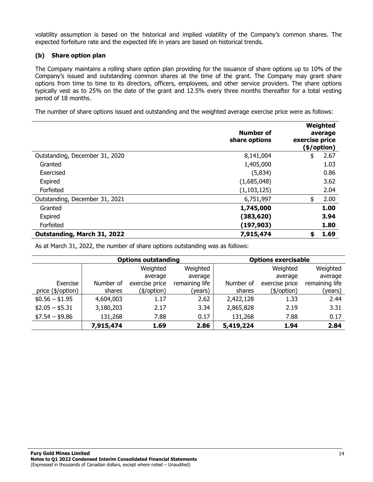volatility assumption is based on the historical and implied volatility of the Company's common shares. The expected forfeiture rate and the expected life in years are based on historical trends.

## **(b) Share option plan**

The Company maintains a rolling share option plan providing for the issuance of share options up to 10% of the Company's issued and outstanding common shares at the time of the grant. The Company may grant share options from time to time to its directors, officers, employees, and other service providers. The share options typically vest as to 25% on the date of the grant and 12.5% every three months thereafter for a total vesting period of 18 months.

The number of share options issued and outstanding and the weighted average exercise price were as follows:

|                                | Number of<br>share options | exercise price | Weighted<br>average<br>(\$/option) |
|--------------------------------|----------------------------|----------------|------------------------------------|
| Outstanding, December 31, 2020 | 8,141,004                  | \$             | 2.67                               |
| Granted                        | 1,405,000                  |                | 1.03                               |
| Exercised                      | (5,834)                    |                | 0.86                               |
| Expired                        | (1,685,048)                |                | 3.62                               |
| Forfeited                      | (1, 103, 125)              |                | 2.04                               |
| Outstanding, December 31, 2021 | 6,751,997                  | \$             | 2.00                               |
| Granted                        | 1,745,000                  |                | 1.00                               |
| Expired                        | (383, 620)                 |                | 3.94                               |
| Forfeited                      | (197, 903)                 |                | 1.80                               |
| Outstanding, March 31, 2022    | 7,915,474                  | \$             | 1.69                               |

As at March 31, 2022, the number of share options outstanding was as follows:

|                   |           | <b>Options outstanding</b> | <b>Options exercisable</b> |           |                |                |
|-------------------|-----------|----------------------------|----------------------------|-----------|----------------|----------------|
|                   |           | Weighted                   | Weighted                   |           | Weighted       | Weighted       |
|                   |           | average                    | average                    |           | average        | average        |
| Exercise          | Number of | exercise price             | remaining life             | Number of | exercise price | remaining life |
| price (\$/option) | shares    | (\$/option)                | (years)                    | shares    | (\$/option)    | (years)        |
| $$0.56 - $1.95$   | 4,604,003 | 1.17                       | 2.62                       | 2,422,128 | 1.33           | 2.44           |
| $$2.05 - $5.31$   | 3,180,203 | 2.17                       | 3.34                       | 2,865,828 | 2.19           | 3.31           |
| $$7.54 - $9.86$   | 131,268   | 7.88                       | 0.17                       | 131,268   | 7.88           | 0.17           |
|                   | 7,915,474 | 1.69                       | 2.86                       | 5,419,224 | 1.94           | 2.84           |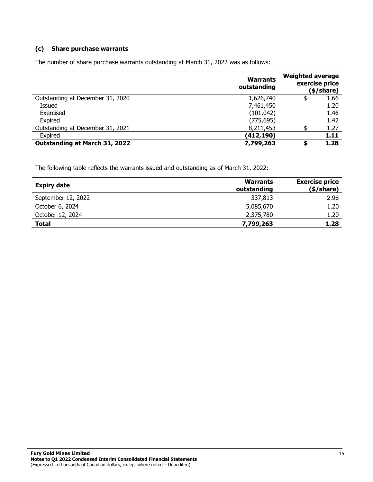#### **(c) Share purchase warrants**

The number of share purchase warrants outstanding at March 31, 2022 was as follows:

|                                      | <b>Warrants</b><br>outstanding | <b>Weighted average</b> | exercise price<br>(\$/share) |
|--------------------------------------|--------------------------------|-------------------------|------------------------------|
| Outstanding at December 31, 2020     | 1,626,740                      |                         | 1.66                         |
| Issued                               | 7,461,450                      |                         | 1.20                         |
| Exercised                            | (101, 042)                     |                         | 1.46                         |
| Expired                              | (775, 695)                     |                         | 1.42                         |
| Outstanding at December 31, 2021     | 8,211,453                      |                         | 1.27                         |
| Expired                              | (412,190)                      |                         | 1.11                         |
| <b>Outstanding at March 31, 2022</b> | 7,799,263                      |                         | 1.28                         |

The following table reflects the warrants issued and outstanding as of March 31, 2022:

| <b>Expiry date</b> | <b>Warrants</b><br>outstanding | <b>Exercise price</b><br>(\$/share) |
|--------------------|--------------------------------|-------------------------------------|
| September 12, 2022 | 337,813                        | 2.96                                |
| October 6, 2024    | 5,085,670                      | 1.20                                |
| October 12, 2024   | 2,375,780                      | 1.20                                |
| <b>Total</b>       | 7,799,263                      | 1.28                                |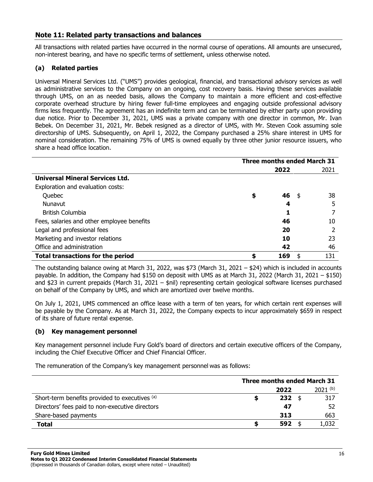# **Note 11: Related party transactions and balances**

All transactions with related parties have occurred in the normal course of operations. All amounts are unsecured, non-interest bearing, and have no specific terms of settlement, unless otherwise noted.

## **(a) Related parties**

Universal Mineral Services Ltd. ("UMS") provides geological, financial, and transactional advisory services as well as administrative services to the Company on an ongoing, cost recovery basis. Having these services available through UMS, on an as needed basis, allows the Company to maintain a more efficient and cost-effective corporate overhead structure by hiring fewer full-time employees and engaging outside professional advisory firms less frequently. The agreement has an indefinite term and can be terminated by either party upon providing due notice. Prior to December 31, 2021, UMS was a private company with one director in common, Mr. Ivan Bebek. On December 31, 2021, Mr. Bebek resigned as a director of UMS, with Mr. Steven Cook assuming sole directorship of UMS. Subsequently, on April 1, 2022, the Company purchased a 25% share interest in UMS for nominal consideration. The remaining 75% of UMS is owned equally by three other junior resource issuers, who share a head office location.

|                                            | <b>Three months ended March 31</b> |      |      |      |
|--------------------------------------------|------------------------------------|------|------|------|
|                                            |                                    | 2022 |      | 2021 |
| <b>Universal Mineral Services Ltd.</b>     |                                    |      |      |      |
| Exploration and evaluation costs:          |                                    |      |      |      |
| Quebec                                     | \$                                 | 46   | - \$ | 38   |
| Nunavut                                    |                                    | 4    |      | 5    |
| <b>British Columbia</b>                    |                                    |      |      |      |
| Fees, salaries and other employee benefits |                                    | 46   |      | 10   |
| Legal and professional fees                |                                    | 20   |      |      |
| Marketing and investor relations           |                                    | 10   |      | 23   |
| Office and administration                  |                                    | 42   |      | 46   |
| <b>Total transactions for the period</b>   |                                    | 169  |      | 131  |

The outstanding balance owing at March 31, 2022, was \$73 (March 31, 2021 – \$24) which is included in accounts payable. In addition, the Company had \$150 on deposit with UMS as at March 31, 2022 (March 31, 2021 – \$150) and \$23 in current prepaids (March 31, 2021 – \$nil) representing certain geological software licenses purchased on behalf of the Company by UMS, and which are amortized over twelve months.

On July 1, 2021, UMS commenced an office lease with a term of ten years, for which certain rent expenses will be payable by the Company. As at March 31, 2022, the Company expects to incur approximately \$659 in respect of its share of future rental expense.

#### **(b) Key management personnel**

Key management personnel include Fury Gold's board of directors and certain executive officers of the Company, including the Chief Executive Officer and Chief Financial Officer.

The remuneration of the Company's key management personnel was as follows:

|                                                 | <b>Three months ended March 31</b> |      |  |              |  |  |
|-------------------------------------------------|------------------------------------|------|--|--------------|--|--|
|                                                 |                                    | 2022 |  | $2021^{(b)}$ |  |  |
| Short-term benefits provided to executives (a)  | S                                  | 232  |  | 317          |  |  |
| Directors' fees paid to non-executive directors |                                    | 47   |  | 52           |  |  |
| Share-based payments                            |                                    | 313  |  | 663          |  |  |
| Total                                           | 55                                 | 592  |  | 1,032        |  |  |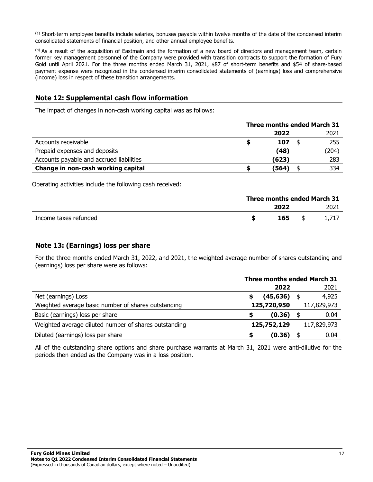(a) Short-term employee benefits include salaries, bonuses payable within twelve months of the date of the condensed interim consolidated statements of financial position, and other annual employee benefits.

(b) As a result of the acquisition of Eastmain and the formation of a new board of directors and management team, certain former key management personnel of the Company were provided with transition contracts to support the formation of Fury Gold until April 2021. For the three months ended March 31, 2021, \$87 of short-term benefits and \$54 of share-based payment expense were recognized in the condensed interim consolidated statements of (earnings) loss and comprehensive (income) loss in respect of these transition arrangements.

# **Note 12: Supplemental cash flow information**

The impact of changes in non-cash working capital was as follows:

|                                          | <b>Three months ended March 31</b> |       |  |       |  |
|------------------------------------------|------------------------------------|-------|--|-------|--|
|                                          |                                    | 2022  |  | 2021  |  |
| Accounts receivable                      |                                    | 107   |  | 255   |  |
| Prepaid expenses and deposits            |                                    | (48)  |  | (204) |  |
| Accounts payable and accrued liabilities |                                    | (623) |  | 283   |  |
| Change in non-cash working capital       |                                    | (564) |  | 334   |  |

Operating activities include the following cash received:

|                       | <b>Three months ended March 31</b> |      |  |      |  |  |
|-----------------------|------------------------------------|------|--|------|--|--|
|                       |                                    | 2022 |  | 2021 |  |  |
| Income taxes refunded |                                    | 165  |  |      |  |  |

# **Note 13: (Earnings) loss per share**

For the three months ended March 31, 2022, and 2021, the weighted average number of shares outstanding and (earnings) loss per share were as follows:

|                                                       | <b>Three months ended March 31</b> |             |  |             |  |
|-------------------------------------------------------|------------------------------------|-------------|--|-------------|--|
|                                                       |                                    | 2022        |  | 2021        |  |
| Net (earnings) Loss                                   |                                    | (45, 636)   |  | 4,925       |  |
| Weighted average basic number of shares outstanding   |                                    | 125,720,950 |  | 117,829,973 |  |
| Basic (earnings) loss per share                       | \$                                 | (0.36)      |  | 0.04        |  |
| Weighted average diluted number of shares outstanding |                                    | 125,752,129 |  | 117,829,973 |  |
| Diluted (earnings) loss per share                     | S                                  | (0.36)      |  | 0.04        |  |

All of the outstanding share options and share purchase warrants at March 31, 2021 were anti-dilutive for the periods then ended as the Company was in a loss position.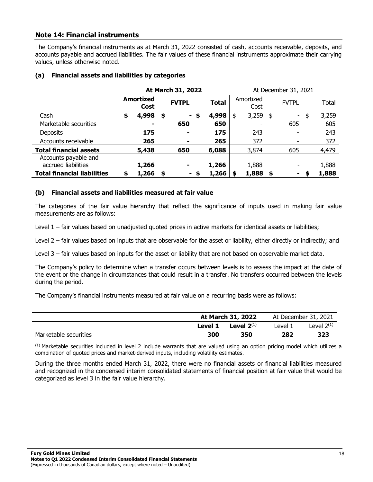# **Note 14: Financial instruments**

The Company's financial instruments as at March 31, 2022 consisted of cash, accounts receivable, deposits, and accounts payable and accrued liabilities. The fair values of these financial instruments approximate their carrying values, unless otherwise noted.

|                                             | At March 31, 2022 |                          |    |                        |              | At December 31, 2021 |      |              |       |  |  |  |
|---------------------------------------------|-------------------|--------------------------|----|------------------------|--------------|----------------------|------|--------------|-------|--|--|--|
|                                             |                   | <b>Amortized</b><br>Cost |    | <b>FVTPL</b>           | <b>Total</b> | Amortized<br>Cost    |      | <b>FVTPL</b> | Total |  |  |  |
| Cash                                        | \$                | 4,998                    | \$ | - \$                   | 4,998        | 3,259<br>\$          | - \$ | \$<br>$\sim$ | 3,259 |  |  |  |
| Marketable securities                       |                   | $\blacksquare$           |    | 650                    | 650          |                      |      | 605          | 605   |  |  |  |
| <b>Deposits</b>                             |                   | 175                      |    | -                      | 175          | 243                  |      | ٠            | 243   |  |  |  |
| Accounts receivable                         |                   | 265                      |    | ۰                      | 265          | 372                  |      | ۰            | 372   |  |  |  |
| <b>Total financial assets</b>               |                   | 5,438                    |    | 650                    | 6,088        | 3,874                |      | 605          | 4,479 |  |  |  |
| Accounts payable and<br>accrued liabilities |                   | 1,266                    |    |                        | 1,266        | 1,888                |      |              | 1,888 |  |  |  |
| <b>Total financial liabilities</b>          | \$                | 1,266                    | \$ | - 56<br>$\blacksquare$ | 1,266        | 1,888                | - \$ | S            | 1,888 |  |  |  |

#### **(a) Financial assets and liabilities by categories**

#### **(b) Financial assets and liabilities measured at fair value**

The categories of the fair value hierarchy that reflect the significance of inputs used in making fair value measurements are as follows:

Level 1 – fair values based on unadjusted quoted prices in active markets for identical assets or liabilities;

Level 2 – fair values based on inputs that are observable for the asset or liability, either directly or indirectly; and

Level 3 – fair values based on inputs for the asset or liability that are not based on observable market data.

The Company's policy to determine when a transfer occurs between levels is to assess the impact at the date of the event or the change in circumstances that could result in a transfer. No transfers occurred between the levels during the period.

The Company's financial instruments measured at fair value on a recurring basis were as follows:

|                       |         | At March 31, 2022 | At December 31, 2021 |                 |  |
|-----------------------|---------|-------------------|----------------------|-----------------|--|
|                       | Level 1 | Level $2^{(1)}$   | evel 1.              | Level $2^{(1)}$ |  |
| Marketable securities | 300     | 350               | 282                  | 323             |  |

 $<sup>(1)</sup>$  Marketable securities included in level 2 include warrants that are valued using an option pricing model which utilizes a</sup> combination of quoted prices and market-derived inputs, including volatility estimates.

During the three months ended March 31, 2022, there were no financial assets or financial liabilities measured and recognized in the condensed interim consolidated statements of financial position at fair value that would be categorized as level 3 in the fair value hierarchy.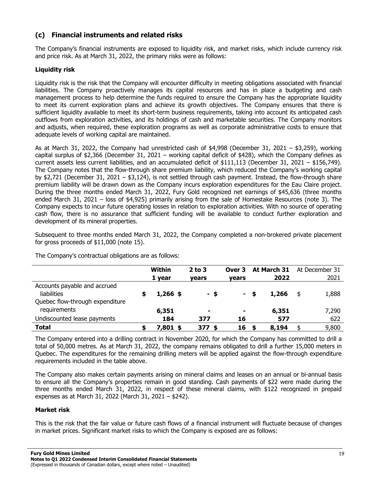# **(c) Financial instruments and related risks**

The Company's financial instruments are exposed to liquidity risk, and market risks, which include currency risk and price risk. As at March 31, 2022, the primary risks were as follows:

## **Liquidity risk**

Liquidity risk is the risk that the Company will encounter difficulty in meeting obligations associated with financial liabilities. The Company proactively manages its capital resources and has in place a budgeting and cash management process to help determine the funds required to ensure the Company has the appropriate liquidity to meet its current exploration plans and achieve its growth objectives. The Company ensures that there is sufficient liquidity available to meet its short-term business requirements, taking into account its anticipated cash outflows from exploration activities, and its holdings of cash and marketable securities. The Company monitors and adjusts, when required, these exploration programs as well as corporate administrative costs to ensure that adequate levels of working capital are maintained.

As at March 31, 2022, the Company had unrestricted cash of \$4,998 (December 31, 2021 – \$3,259), working capital surplus of \$2,366 (December 31, 2021 – working capital deficit of \$428), which the Company defines as current assets less current liabilities, and an accumulated deficit of \$111,113 (December 31, 2021 – \$156,749). The Company notes that the flow-through share premium liability, which reduced the Company's working capital by \$2,721 (December 31, 2021 – \$3,124), is not settled through cash payment. Instead, the flow-through share premium liability will be drawn down as the Company incurs exploration expenditures for the Eau Claire project. During the three months ended March 31, 2022, Fury Gold recognized net earnings of \$45,636 (three months ended March 31, 2021 – loss of \$4,925) primarily arising from the sale of Homestake Resources (note 3). The Company expects to incur future operating losses in relation to exploration activities. With no source of operating cash flow, there is no assurance that sufficient funding will be available to conduct further exploration and development of its mineral properties.

Subsequent to three months ended March 31, 2022, the Company completed a non-brokered private placement for gross proceeds of \$11,000 (note 15).

The Company's contractual obligations are as follows:

|                                                                                | Within<br>1 year | $2$ to $3$<br><b>vears</b> | Over 3<br><b>vears</b> | At March 31<br>2022 | At December 31<br>2021 |
|--------------------------------------------------------------------------------|------------------|----------------------------|------------------------|---------------------|------------------------|
| Accounts payable and accrued<br>liabilities<br>Quebec flow-through expenditure | $1,266$ \$       | - \$                       |                        | 1,266               | \$<br>1,888            |
| requirements                                                                   | 6,351            | ۰                          | ۰                      | 6,351               | 7,290                  |
| Undiscounted lease payments                                                    | 184              | 377                        | 16                     | 577                 | 622                    |
| <b>Total</b>                                                                   | $7,801$ \$       | $377$ \$                   | 16                     | 8,194               | \$<br>9,800            |

The Company entered into a drilling contract in November 2020, for which the Company has committed to drill a total of 50,000 metres. As at March 31, 2022, the company remains obligated to drill a further 15,000 meters in Quebec. The expenditures for the remaining drilling meters will be applied against the flow-through expenditure requirements included in the table above.

The Company also makes certain payments arising on mineral claims and leases on an annual or bi-annual basis to ensure all the Company's properties remain in good standing. Cash payments of \$22 were made during the three months ended March 31, 2022, in respect of these mineral claims, with \$122 recognized in prepaid expenses as at March 31, 2022 (March 31, 2021 – \$242).

#### **Market risk**

This is the risk that the fair value or future cash flows of a financial instrument will fluctuate because of changes in market prices. Significant market risks to which the Company is exposed are as follows: